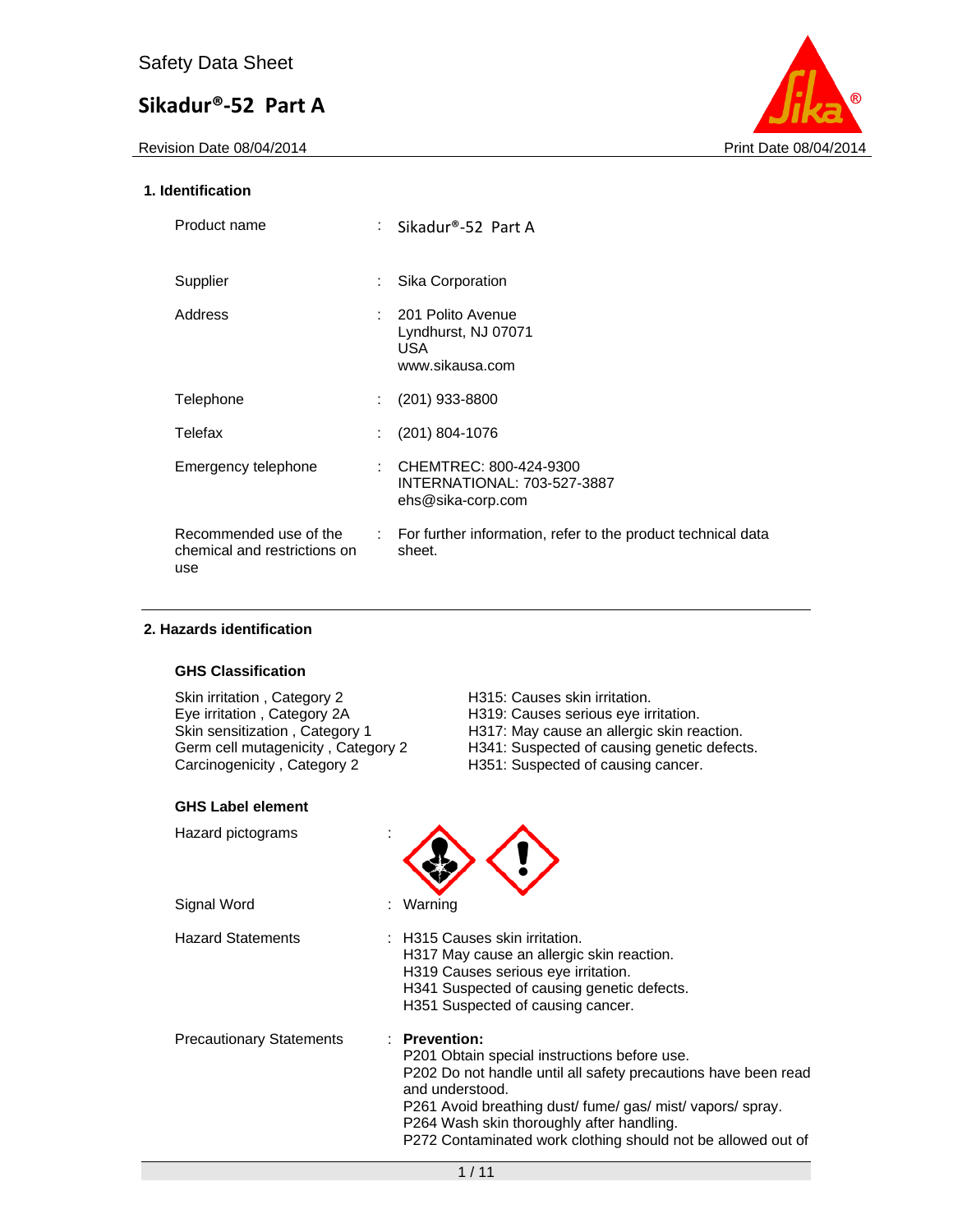Revision Date 08/04/2014 **Print Date 08/04/2014** 



## **1. Identification**

| Product name                                                  |    | : Sikadur®-52 Part A                                                       |
|---------------------------------------------------------------|----|----------------------------------------------------------------------------|
| Supplier                                                      |    | Sika Corporation                                                           |
| Address                                                       | ÷  | - 201 Polito Avenue<br>Lyndhurst, NJ 07071<br>USA.<br>www.sikausa.com      |
| Telephone                                                     |    | $(201)$ 933-8800                                                           |
| Telefax                                                       |    | $(201)$ 804-1076                                                           |
| Emergency telephone                                           | ÷. | CHEMTREC: 800-424-9300<br>INTERNATIONAL: 703-527-3887<br>ehs@sika-corp.com |
| Recommended use of the<br>chemical and restrictions on<br>use |    | : For further information, refer to the product technical data<br>sheet.   |

## **2. Hazards identification**

## **GHS Classification**

Skin irritation , Category 2 H315: Causes skin irritation.<br>
Eye irritation , Category 2A H319: Causes serious eye ir Carcinogenicity, Category 2 H351: Suspected of causing cancer.

Eye irritation , Category 2A H319: Causes serious eye irritation.<br>Skin sensitization , Category 1 H317: May cause an allergic skin rea Skin sensitization, Category 1 H317: May cause an allergic skin reaction. Germ cell mutagenicity , Category 2 H341: Suspected of causing genetic defects.

| <b>GHS Label element</b>        |                                                                                                                                                                                                                                                                                                                            |
|---------------------------------|----------------------------------------------------------------------------------------------------------------------------------------------------------------------------------------------------------------------------------------------------------------------------------------------------------------------------|
| Hazard pictograms               |                                                                                                                                                                                                                                                                                                                            |
| Signal Word                     | : Warning                                                                                                                                                                                                                                                                                                                  |
| <b>Hazard Statements</b>        | : H315 Causes skin irritation.<br>H317 May cause an allergic skin reaction.<br>H319 Causes serious eye irritation.<br>H341 Suspected of causing genetic defects.<br>H351 Suspected of causing cancer.                                                                                                                      |
| <b>Precautionary Statements</b> | $:$ Prevention:<br>P201 Obtain special instructions before use.<br>P202 Do not handle until all safety precautions have been read<br>and understood.<br>P261 Avoid breathing dust/fume/gas/mist/vapors/spray.<br>P264 Wash skin thoroughly after handling.<br>P272 Contaminated work clothing should not be allowed out of |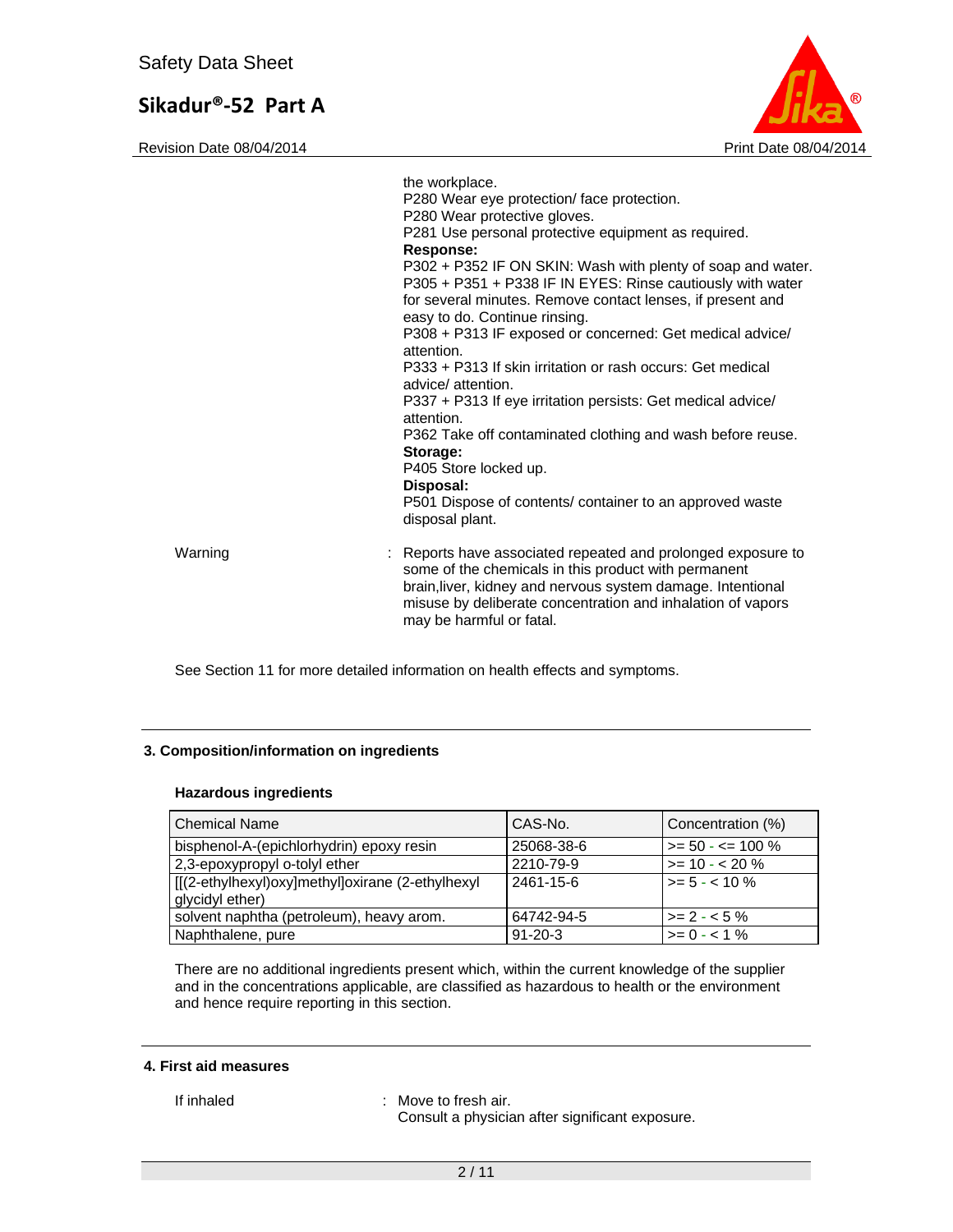Revision Date 08/04/2014 **Print Date 08/04/2014** 



|         | the workplace.<br>P280 Wear eye protection/face protection.<br>P280 Wear protective gloves.<br>P281 Use personal protective equipment as required.<br><b>Response:</b><br>P302 + P352 IF ON SKIN: Wash with plenty of soap and water.<br>P305 + P351 + P338 IF IN EYES: Rinse cautiously with water<br>for several minutes. Remove contact lenses, if present and<br>easy to do. Continue rinsing.<br>P308 + P313 IF exposed or concerned: Get medical advice/<br>attention.<br>P333 + P313 If skin irritation or rash occurs: Get medical<br>advice/ attention.<br>P337 + P313 If eye irritation persists: Get medical advice/<br>attention.<br>P362 Take off contaminated clothing and wash before reuse.<br>Storage:<br>P405 Store locked up.<br>Disposal:<br>P501 Dispose of contents/ container to an approved waste<br>disposal plant. |
|---------|----------------------------------------------------------------------------------------------------------------------------------------------------------------------------------------------------------------------------------------------------------------------------------------------------------------------------------------------------------------------------------------------------------------------------------------------------------------------------------------------------------------------------------------------------------------------------------------------------------------------------------------------------------------------------------------------------------------------------------------------------------------------------------------------------------------------------------------------|
| Warning | : Reports have associated repeated and prolonged exposure to<br>some of the chemicals in this product with permanent<br>brain, liver, kidney and nervous system damage. Intentional<br>misuse by deliberate concentration and inhalation of vapors<br>may be harmful or fatal.                                                                                                                                                                                                                                                                                                                                                                                                                                                                                                                                                               |

See Section 11 for more detailed information on health effects and symptoms.

## **3. Composition/information on ingredients**

#### **Hazardous ingredients**

| <b>Chemical Name</b>                                                | CAS-No.       | Concentration (%)    |
|---------------------------------------------------------------------|---------------|----------------------|
| bisphenol-A-(epichlorhydrin) epoxy resin                            | 25068-38-6    | $>= 50 - 5 = 100 \%$ |
| 2,3-epoxypropyl o-tolyl ether                                       | 2210-79-9     | $>= 10 - 20 \%$      |
| [[(2-ethylhexyl)oxy]methyl]oxirane (2-ethylhexyl<br>glycidyl ether) | 2461-15-6     | $> = 5 - < 10 \%$    |
| solvent naphtha (petroleum), heavy arom.                            | 64742-94-5    | $\ge$ 2 - < 5 %      |
| Naphthalene, pure                                                   | $91 - 20 - 3$ | $>= 0 - 1\%$         |

There are no additional ingredients present which, within the current knowledge of the supplier and in the concentrations applicable, are classified as hazardous to health or the environment and hence require reporting in this section.

#### **4. First aid measures**

If inhaled : Move to fresh air. Consult a physician after significant exposure.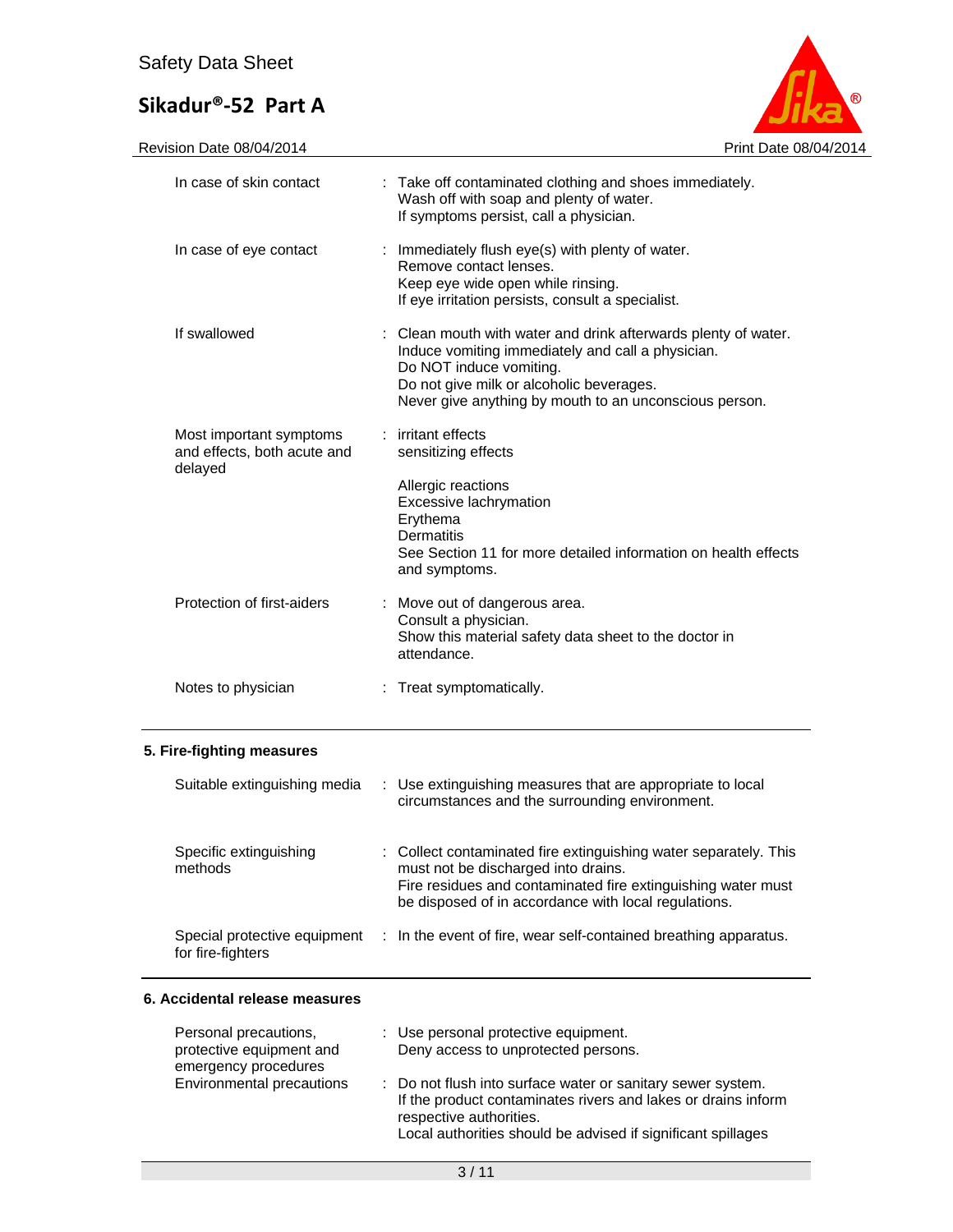| ൫                     |
|-----------------------|
| Print Date 08/04/2014 |

Revision Date 08/04/2014 Print Date 08/04/2014

| In case of skin contact                                           | : Take off contaminated clothing and shoes immediately.<br>Wash off with soap and plenty of water.<br>If symptoms persist, call a physician.                                                                                                         |  |
|-------------------------------------------------------------------|------------------------------------------------------------------------------------------------------------------------------------------------------------------------------------------------------------------------------------------------------|--|
| In case of eye contact                                            | : Immediately flush eye(s) with plenty of water.<br>Remove contact lenses.<br>Keep eye wide open while rinsing.<br>If eye irritation persists, consult a specialist.                                                                                 |  |
| If swallowed                                                      | : Clean mouth with water and drink afterwards plenty of water.<br>Induce vomiting immediately and call a physician.<br>Do NOT induce vomiting.<br>Do not give milk or alcoholic beverages.<br>Never give anything by mouth to an unconscious person. |  |
| Most important symptoms<br>and effects, both acute and<br>delayed | : irritant effects<br>sensitizing effects                                                                                                                                                                                                            |  |
|                                                                   | Allergic reactions<br>Excessive lachrymation<br>Erythema<br><b>Dermatitis</b><br>See Section 11 for more detailed information on health effects<br>and symptoms.                                                                                     |  |
| Protection of first-aiders                                        | : Move out of dangerous area.<br>Consult a physician.<br>Show this material safety data sheet to the doctor in<br>attendance.                                                                                                                        |  |
| Notes to physician                                                | : Treat symptomatically.                                                                                                                                                                                                                             |  |
| 5. Fire-fighting measures                                         |                                                                                                                                                                                                                                                      |  |
| Suitable extinguishing media                                      | Use extinguishing measures that are appropriate to local<br>circumstances and the surrounding environment.                                                                                                                                           |  |
| Specific extinguishing<br>methods                                 | : Collect contaminated fire extinguishing water separately. This<br>must not be discharged into drains.<br>Fire residues and contaminated fire extinguishing water must<br>be disposed of in accordance with local regulations.                      |  |
| Special protective equipment                                      | In the event of fire, wear self-contained breathing apparatus.                                                                                                                                                                                       |  |

## **6. Accidental release measures**

for fire-fighters

| Personal precautions,<br>protective equipment and<br>emergency procedures | : Use personal protective equipment.<br>Deny access to unprotected persons.                                                                                                                                             |
|---------------------------------------------------------------------------|-------------------------------------------------------------------------------------------------------------------------------------------------------------------------------------------------------------------------|
| Environmental precautions                                                 | : Do not flush into surface water or sanitary sewer system.<br>If the product contaminates rivers and lakes or drains inform<br>respective authorities.<br>Local authorities should be advised if significant spillages |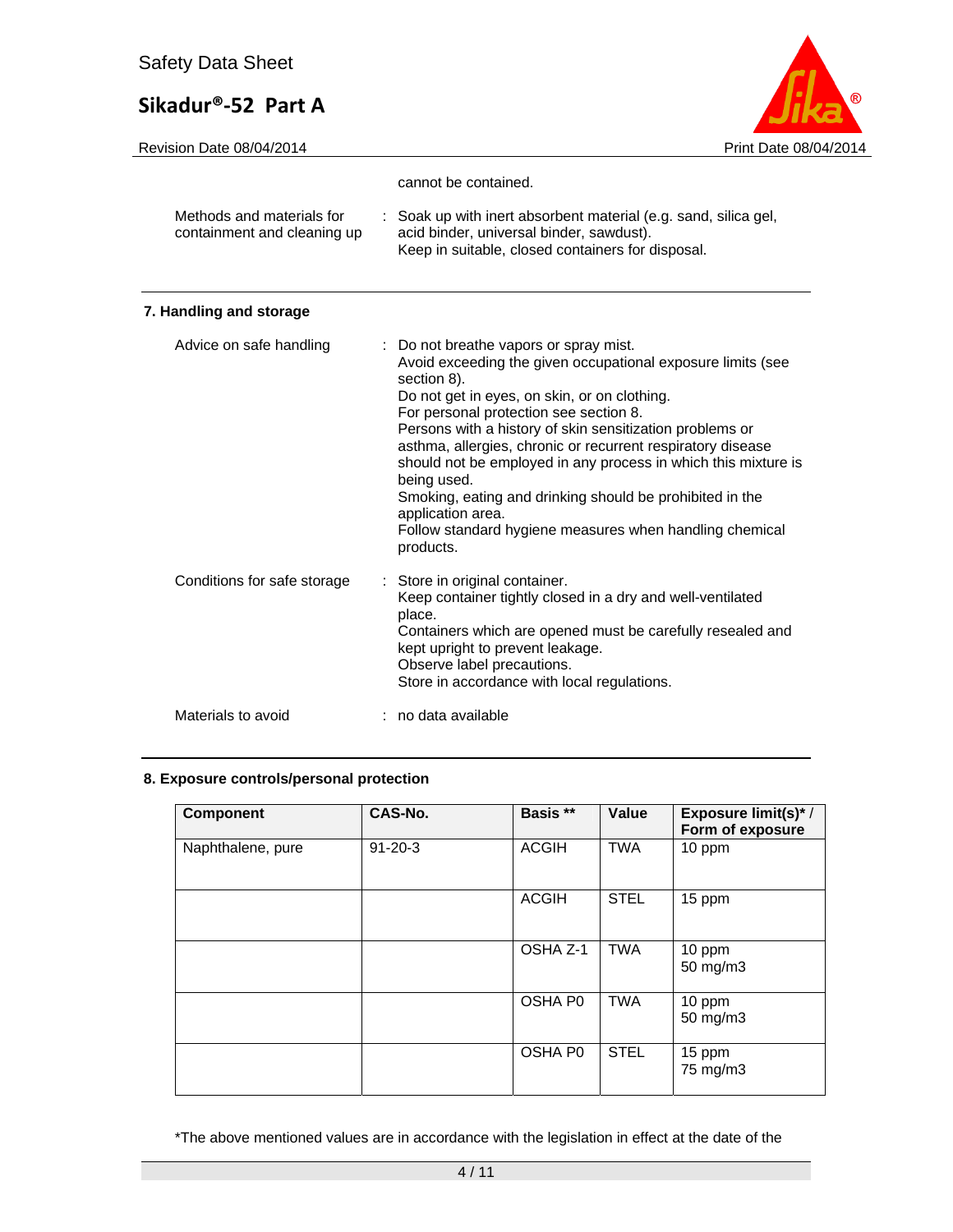Revision Date 08/04/2014 **Print Date 08/04/2014** 



|                                                          | cannot be contained.                                                                                                                                                                                                                                                                                                                                                                                                                                                                                                                                                              |
|----------------------------------------------------------|-----------------------------------------------------------------------------------------------------------------------------------------------------------------------------------------------------------------------------------------------------------------------------------------------------------------------------------------------------------------------------------------------------------------------------------------------------------------------------------------------------------------------------------------------------------------------------------|
| Methods and materials for<br>containment and cleaning up | : Soak up with inert absorbent material (e.g. sand, silica gel,<br>acid binder, universal binder, sawdust).<br>Keep in suitable, closed containers for disposal.                                                                                                                                                                                                                                                                                                                                                                                                                  |
| 7. Handling and storage                                  |                                                                                                                                                                                                                                                                                                                                                                                                                                                                                                                                                                                   |
| Advice on safe handling                                  | Do not breathe vapors or spray mist.<br>Avoid exceeding the given occupational exposure limits (see<br>section 8).<br>Do not get in eyes, on skin, or on clothing.<br>For personal protection see section 8.<br>Persons with a history of skin sensitization problems or<br>asthma, allergies, chronic or recurrent respiratory disease<br>should not be employed in any process in which this mixture is<br>being used.<br>Smoking, eating and drinking should be prohibited in the<br>application area.<br>Follow standard hygiene measures when handling chemical<br>products. |
| Conditions for safe storage                              | Store in original container.<br>Keep container tightly closed in a dry and well-ventilated<br>place.<br>Containers which are opened must be carefully resealed and<br>kept upright to prevent leakage.<br>Observe label precautions.<br>Store in accordance with local regulations.                                                                                                                                                                                                                                                                                               |

## Materials to avoid : no data available

## **8. Exposure controls/personal protection**

| <b>Component</b>  | CAS-No.       | Basis **            | Value       | <b>Exposure limit(s)*/</b><br>Form of exposure |
|-------------------|---------------|---------------------|-------------|------------------------------------------------|
| Naphthalene, pure | $91 - 20 - 3$ | <b>ACGIH</b>        | <b>TWA</b>  | 10 ppm                                         |
|                   |               | <b>ACGIH</b>        | <b>STEL</b> | 15 ppm                                         |
|                   |               | OSHA Z-1            | <b>TWA</b>  | 10 ppm<br>50 mg/m3                             |
|                   |               | OSHA P <sub>0</sub> | <b>TWA</b>  | 10 ppm<br>50 mg/m3                             |
|                   |               | OSHA P <sub>0</sub> | <b>STEL</b> | 15 ppm<br>75 mg/m3                             |

\*The above mentioned values are in accordance with the legislation in effect at the date of the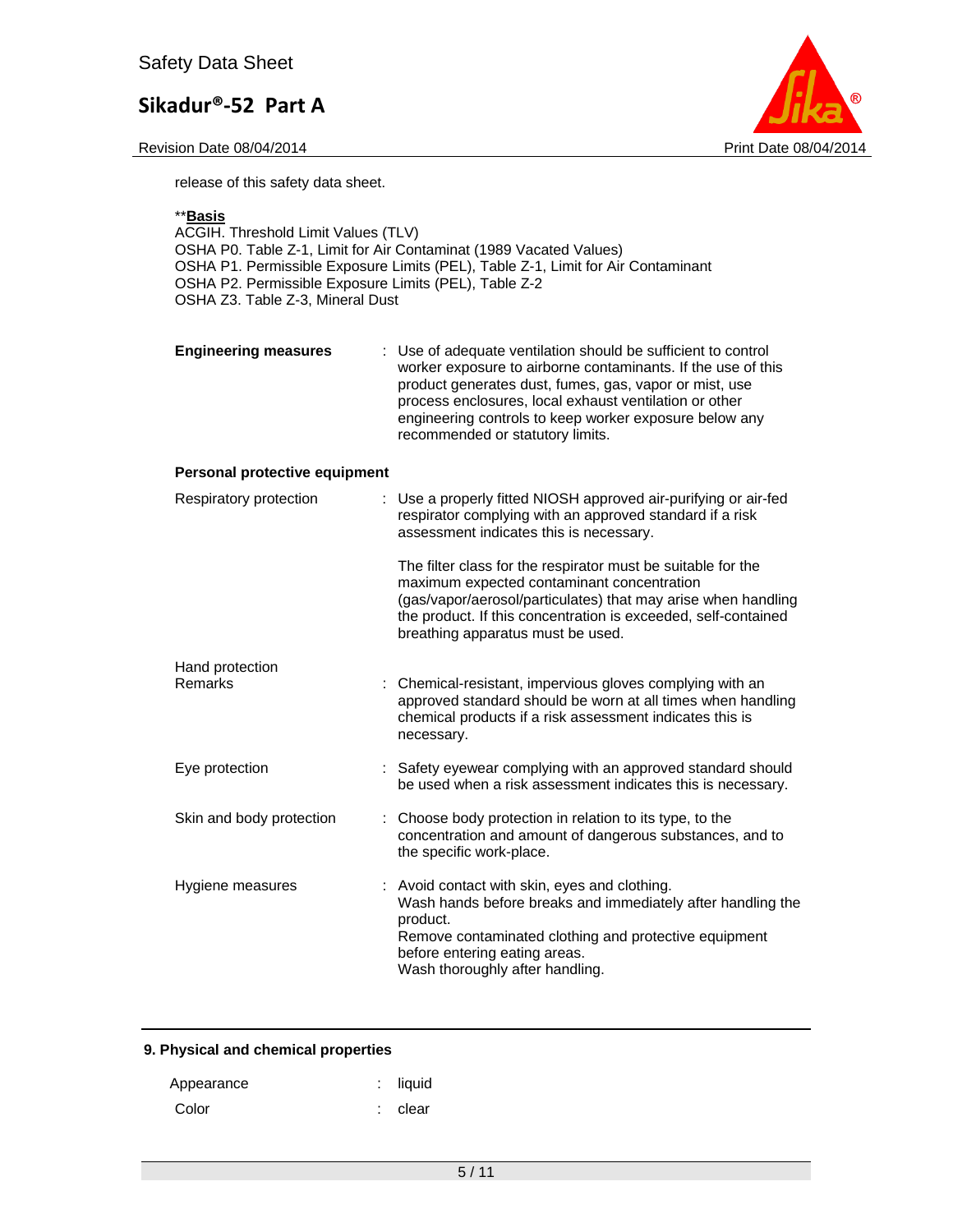

release of this safety data sheet.

## \*\***Basis**

| ACGIH. Threshold Limit Values (TLV)<br>OSHA P0. Table Z-1, Limit for Air Contaminat (1989 Vacated Values)<br>OSHA P1. Permissible Exposure Limits (PEL), Table Z-1, Limit for Air Contaminant<br>OSHA P2. Permissible Exposure Limits (PEL), Table Z-2<br>OSHA Z3. Table Z-3, Mineral Dust |                                                                                                                                                                                                                                                                                                                                                 |  |  |  |
|--------------------------------------------------------------------------------------------------------------------------------------------------------------------------------------------------------------------------------------------------------------------------------------------|-------------------------------------------------------------------------------------------------------------------------------------------------------------------------------------------------------------------------------------------------------------------------------------------------------------------------------------------------|--|--|--|
| <b>Engineering measures</b>                                                                                                                                                                                                                                                                | : Use of adequate ventilation should be sufficient to control<br>worker exposure to airborne contaminants. If the use of this<br>product generates dust, fumes, gas, vapor or mist, use<br>process enclosures, local exhaust ventilation or other<br>engineering controls to keep worker exposure below any<br>recommended or statutory limits. |  |  |  |
| Personal protective equipment                                                                                                                                                                                                                                                              |                                                                                                                                                                                                                                                                                                                                                 |  |  |  |
| Respiratory protection                                                                                                                                                                                                                                                                     | Use a properly fitted NIOSH approved air-purifying or air-fed<br>respirator complying with an approved standard if a risk<br>assessment indicates this is necessary.                                                                                                                                                                            |  |  |  |
|                                                                                                                                                                                                                                                                                            | The filter class for the respirator must be suitable for the<br>maximum expected contaminant concentration<br>(gas/vapor/aerosol/particulates) that may arise when handling<br>the product. If this concentration is exceeded, self-contained<br>breathing apparatus must be used.                                                              |  |  |  |
| Hand protection<br>Remarks                                                                                                                                                                                                                                                                 | : Chemical-resistant, impervious gloves complying with an<br>approved standard should be worn at all times when handling<br>chemical products if a risk assessment indicates this is<br>necessary.                                                                                                                                              |  |  |  |
| Eye protection                                                                                                                                                                                                                                                                             | : Safety eyewear complying with an approved standard should<br>be used when a risk assessment indicates this is necessary.                                                                                                                                                                                                                      |  |  |  |
| Skin and body protection<br>t.                                                                                                                                                                                                                                                             | Choose body protection in relation to its type, to the<br>concentration and amount of dangerous substances, and to<br>the specific work-place.                                                                                                                                                                                                  |  |  |  |
| Hygiene measures                                                                                                                                                                                                                                                                           | : Avoid contact with skin, eyes and clothing.<br>Wash hands before breaks and immediately after handling the<br>product.<br>Remove contaminated clothing and protective equipment<br>before entering eating areas.<br>Wash thoroughly after handling.                                                                                           |  |  |  |

## **9. Physical and chemical properties**

| Appearance | $:$ liquid |
|------------|------------|
| Color      | : clear    |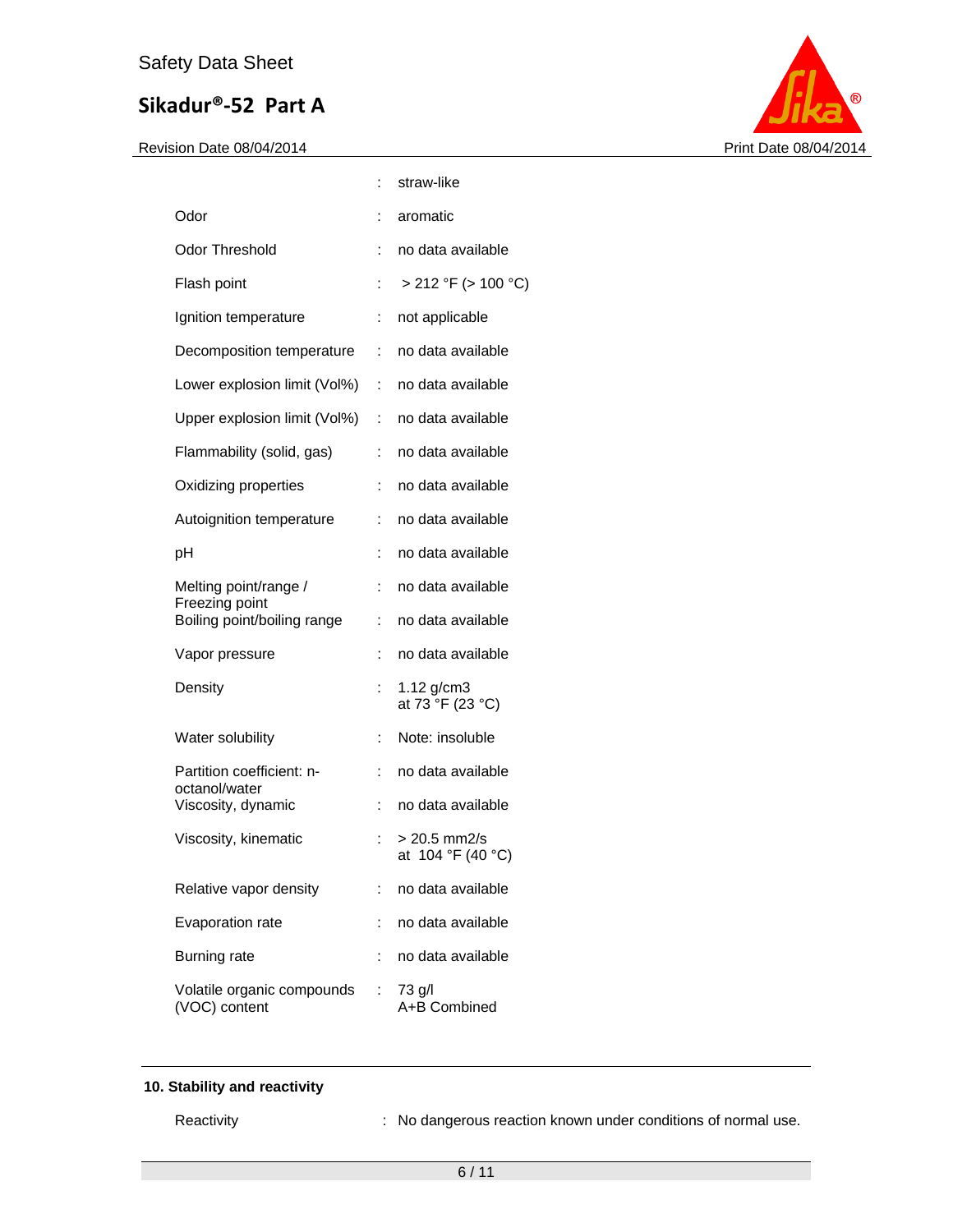Revision Date 08/04/2014 **Print Date 08/04/2014** 



|                                             |    | straw-like                        |
|---------------------------------------------|----|-----------------------------------|
| Odor                                        |    | aromatic                          |
| Odor Threshold                              | ÷  | no data available                 |
| Flash point                                 |    | > 212 °F (> 100 °C)               |
| Ignition temperature                        | ÷. | not applicable                    |
| Decomposition temperature                   | t. | no data available                 |
| Lower explosion limit (Vol%)                |    | : no data available               |
| Upper explosion limit (Vol%)                | ÷. | no data available                 |
| Flammability (solid, gas)                   | ÷  | no data available                 |
| Oxidizing properties                        | t. | no data available                 |
| Autoignition temperature                    | ÷  | no data available                 |
| рH                                          | ÷  | no data available                 |
| Melting point/range /<br>Freezing point     | ÷  | no data available                 |
| Boiling point/boiling range                 | ÷  | no data available                 |
| Vapor pressure                              | ÷  | no data available                 |
| Density                                     |    | 1.12 $g/cm3$<br>at 73 °F (23 °C)  |
| Water solubility                            | ÷  | Note: insoluble                   |
| Partition coefficient: n-<br>octanol/water  |    | no data available                 |
| Viscosity, dynamic                          | ÷  | no data available                 |
| Viscosity, kinematic                        |    | > 20.5 mm2/s<br>at 104 °F (40 °C) |
| Relative vapor density                      |    | no data available                 |
| Evaporation rate                            |    | no data available                 |
| <b>Burning rate</b>                         |    | no data available                 |
| Volatile organic compounds<br>(VOC) content | t. | 73 g/l<br>A+B Combined            |

## **10. Stability and reactivity**

Reactivity **Reactivity** : No dangerous reaction known under conditions of normal use.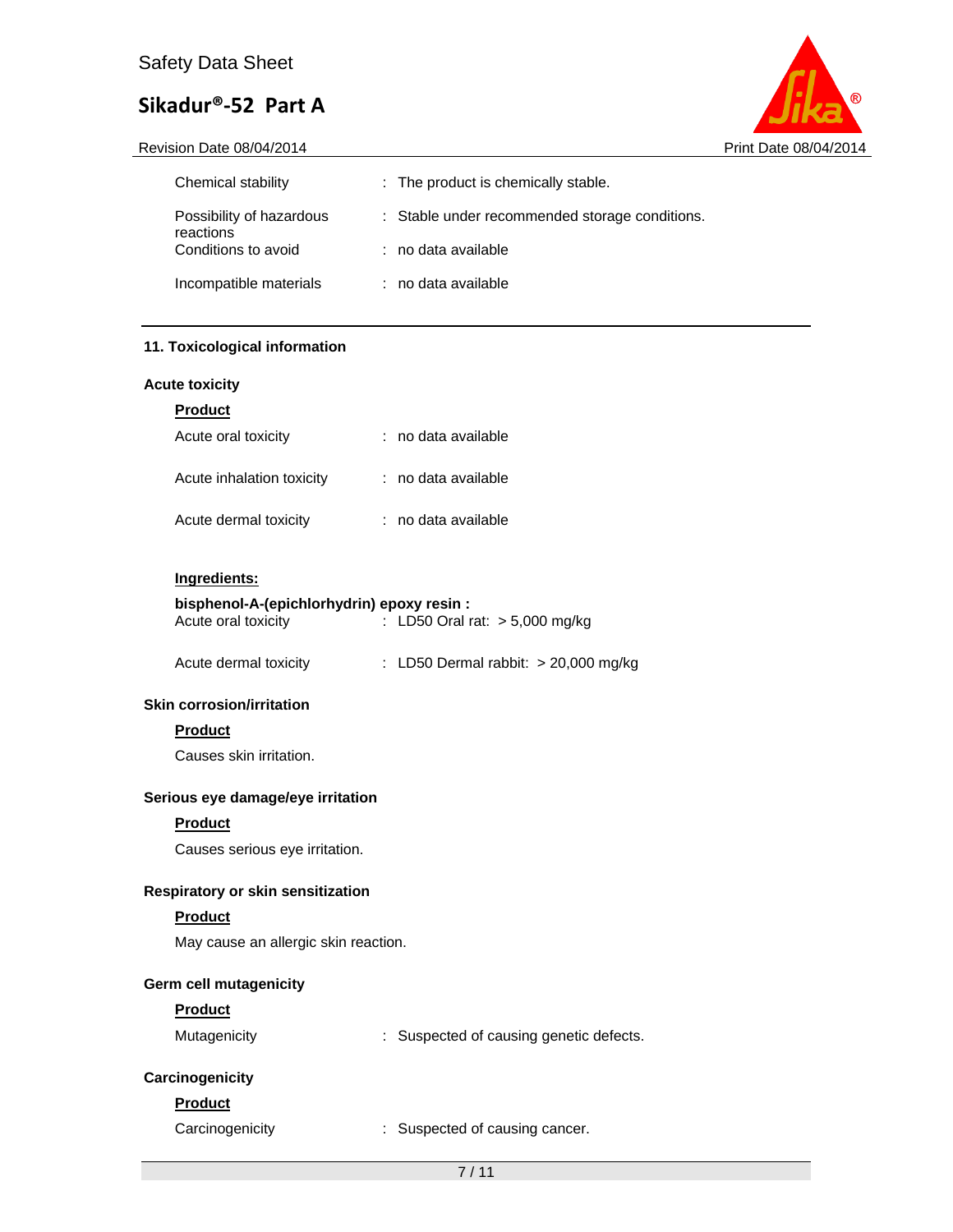

Revision Date 08/04/2014 **Print Date 08/04/2014** 

| Chemical stability                    | : The product is chemically stable.            |
|---------------------------------------|------------------------------------------------|
| Possibility of hazardous<br>reactions | : Stable under recommended storage conditions. |
| Conditions to avoid                   | $:$ no data available                          |
| Incompatible materials                | $:$ no data available                          |

## **11. Toxicological information**

### **Acute toxicity**

|--|

| Acute oral toxicity       | : no data available |
|---------------------------|---------------------|
| Acute inhalation toxicity | : no data available |
| Acute dermal toxicity     | : no data available |

### **Ingredients:**

#### **bisphenol-A-(epichlorhydrin) epoxy resin :**  Acute oral toxicity : LD50 Oral rat: > 5,000 mg/kg

| Acute dermal toxicity | : LD50 Dermal rabbit: $> 20,000$ mg/kg |  |  |
|-----------------------|----------------------------------------|--|--|
|-----------------------|----------------------------------------|--|--|

## **Skin corrosion/irritation**

## **Product**

Causes skin irritation.

## **Serious eye damage/eye irritation**

## **Product**

Causes serious eye irritation.

### **Respiratory or skin sensitization**

## **Product**

May cause an allergic skin reaction.

## **Germ cell mutagenicity**

### **Product**

| Mutagenicity | Suspected of causing genetic defects. |
|--------------|---------------------------------------|
|--------------|---------------------------------------|

## **Carcinogenicity**

## **Product**

Carcinogenicity : Suspected of causing cancer.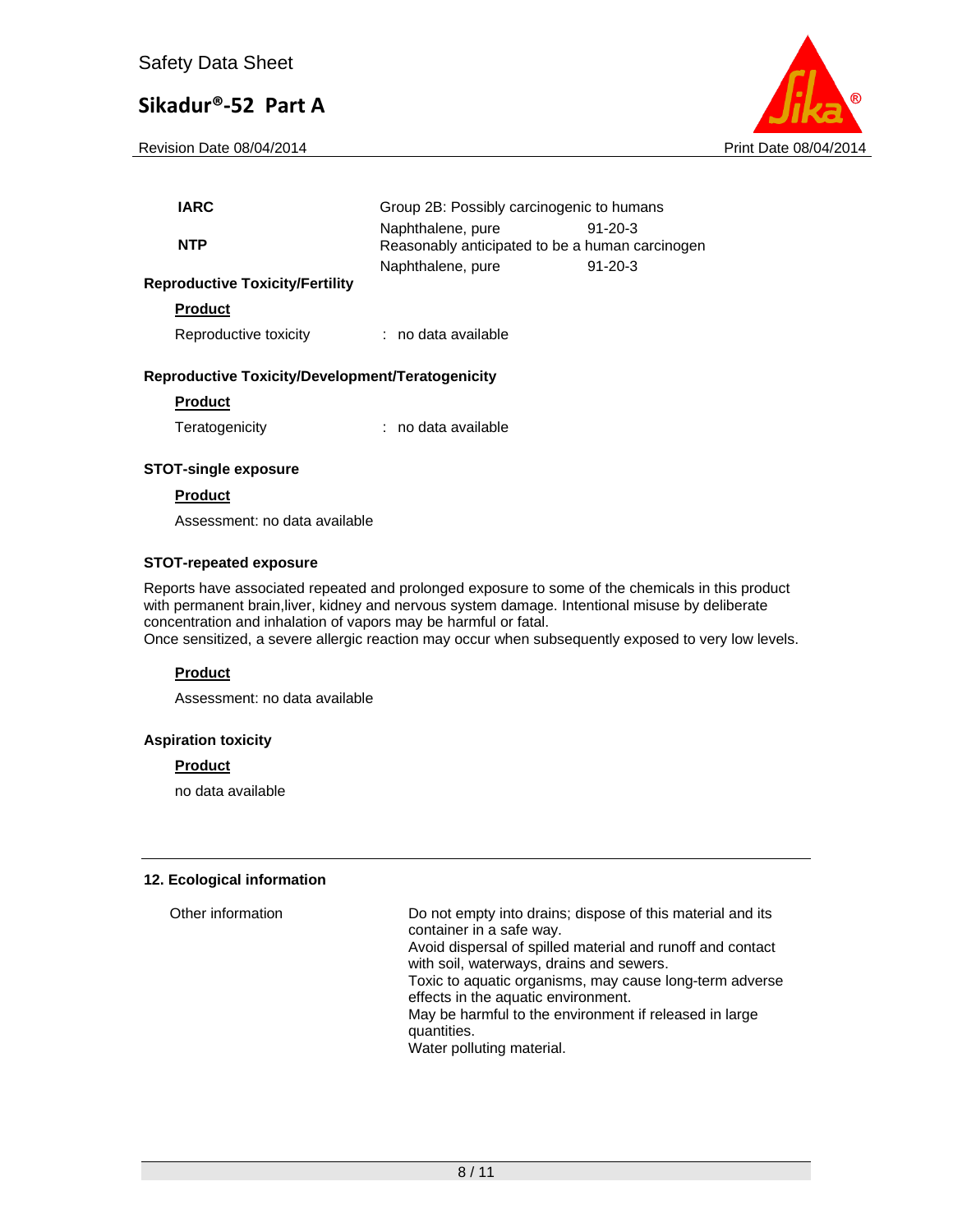Revision Date 08/04/2014 **Print Date 08/04/2014** Print Date 08/04/2014



| <b>IARC</b>                            | Group 2B: Possibly carcinogenic to humans                            |           |
|----------------------------------------|----------------------------------------------------------------------|-----------|
| <b>NTP</b>                             | Naphthalene, pure<br>Reasonably anticipated to be a human carcinogen | $91-20-3$ |
| <b>Reproductive Toxicity/Fertility</b> | Naphthalene, pure                                                    | $91-20-3$ |
| <b>Product</b>                         |                                                                      |           |
| Reproductive toxicity                  | : no data available                                                  |           |
|                                        |                                                                      |           |

## **Reproductive Toxicity/Development/Teratogenicity**

#### **Product**

Teratogenicity : no data available

#### **STOT-single exposure**

#### **Product**

Assessment: no data available

#### **STOT-repeated exposure**

Reports have associated repeated and prolonged exposure to some of the chemicals in this product with permanent brain,liver, kidney and nervous system damage. Intentional misuse by deliberate concentration and inhalation of vapors may be harmful or fatal.

Once sensitized, a severe allergic reaction may occur when subsequently exposed to very low levels.

### **Product**

Assessment: no data available

#### **Aspiration toxicity**

#### **Product**

no data available

#### **12. Ecological information**

| Other information | Do not empty into drains; dispose of this material and its<br>container in a safe way.<br>Avoid dispersal of spilled material and runoff and contact<br>with soil, waterways, drains and sewers.<br>Toxic to aquatic organisms, may cause long-term adverse<br>effects in the aquatic environment.<br>May be harmful to the environment if released in large<br>quantities.<br>Water polluting material. |
|-------------------|----------------------------------------------------------------------------------------------------------------------------------------------------------------------------------------------------------------------------------------------------------------------------------------------------------------------------------------------------------------------------------------------------------|
|                   |                                                                                                                                                                                                                                                                                                                                                                                                          |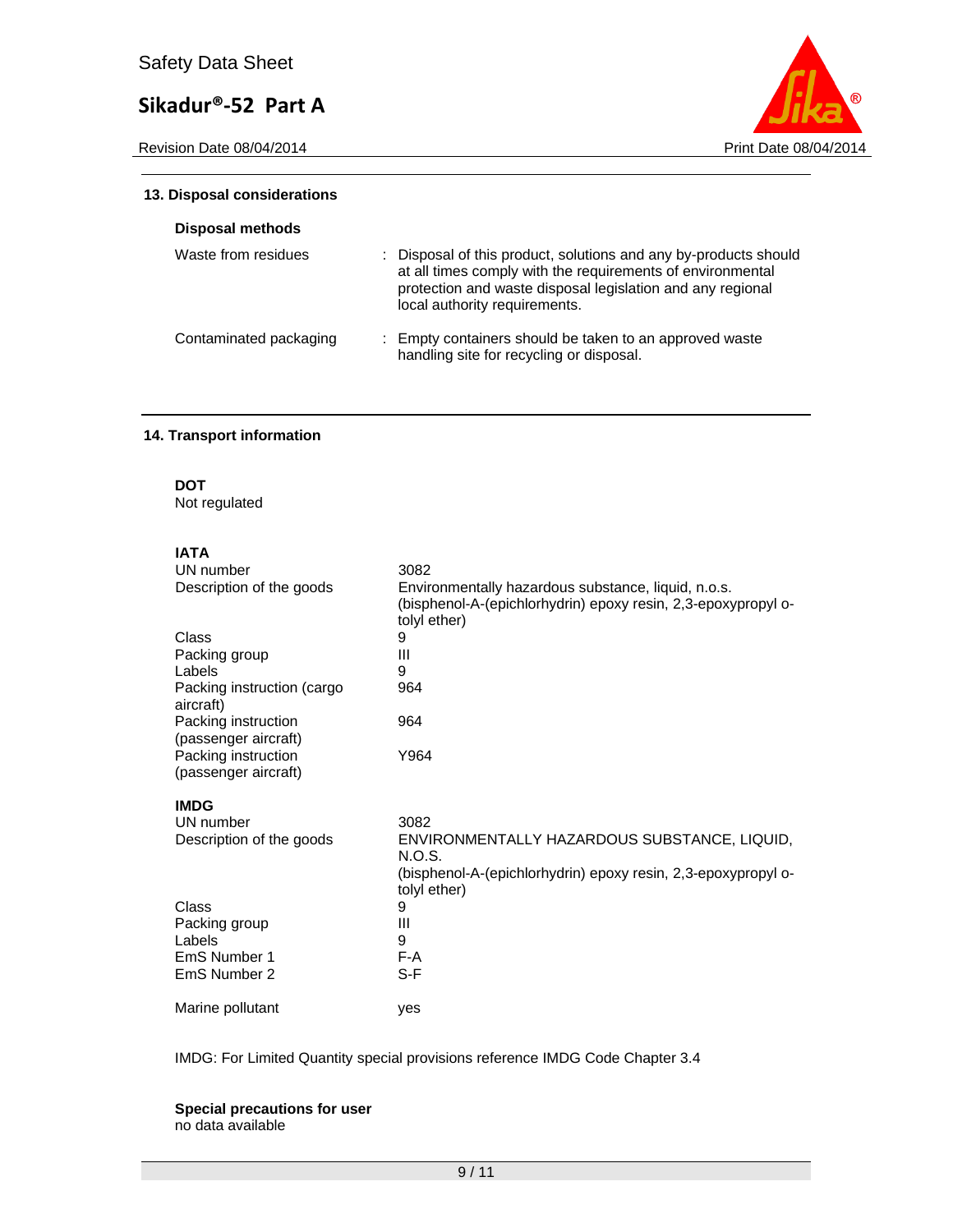Revision Date 08/04/2014 **Print Date 08/04/2014** 



#### **13. Disposal considerations**

| <b>Disposal methods</b> |                                                                                                                                                                                                                               |
|-------------------------|-------------------------------------------------------------------------------------------------------------------------------------------------------------------------------------------------------------------------------|
| Waste from residues     | : Disposal of this product, solutions and any by-products should<br>at all times comply with the requirements of environmental<br>protection and waste disposal legislation and any regional<br>local authority requirements. |
| Contaminated packaging  | : Empty containers should be taken to an approved waste<br>handling site for recycling or disposal.                                                                                                                           |

## **14. Transport information**

**DOT** 

Not regulated

## **IATA**

| UN number                                   | 3082                                                                                                                                 |
|---------------------------------------------|--------------------------------------------------------------------------------------------------------------------------------------|
| Description of the goods                    | Environmentally hazardous substance, liquid, n.o.s.<br>(bisphenol-A-(epichlorhydrin) epoxy resin, 2,3-epoxypropyl o-<br>tolyl ether) |
| Class                                       | 9                                                                                                                                    |
| Packing group                               | Ш                                                                                                                                    |
| Labels                                      | 9                                                                                                                                    |
| Packing instruction (cargo<br>aircraft)     | 964                                                                                                                                  |
| Packing instruction<br>(passenger aircraft) | 964                                                                                                                                  |
| Packing instruction<br>(passenger aircraft) | Y964                                                                                                                                 |
| <b>IMDG</b>                                 |                                                                                                                                      |
| UN number                                   | 3082                                                                                                                                 |
| Description of the goods                    | ENVIRONMENTALLY HAZARDOUS SUBSTANCE, LIQUID,<br>N.O.S.                                                                               |
|                                             | (bisphenol-A-(epichlorhydrin) epoxy resin, 2,3-epoxypropyl o-<br>tolyl ether)                                                        |
| Class                                       | 9                                                                                                                                    |
| Packing group                               | Ш                                                                                                                                    |
| Labels                                      | 9                                                                                                                                    |
| EmS Number 1                                | F-A                                                                                                                                  |
| EmS Number 2                                | S-F                                                                                                                                  |
| Marine pollutant                            | yes                                                                                                                                  |

IMDG: For Limited Quantity special provisions reference IMDG Code Chapter 3.4

#### **Special precautions for user** no data available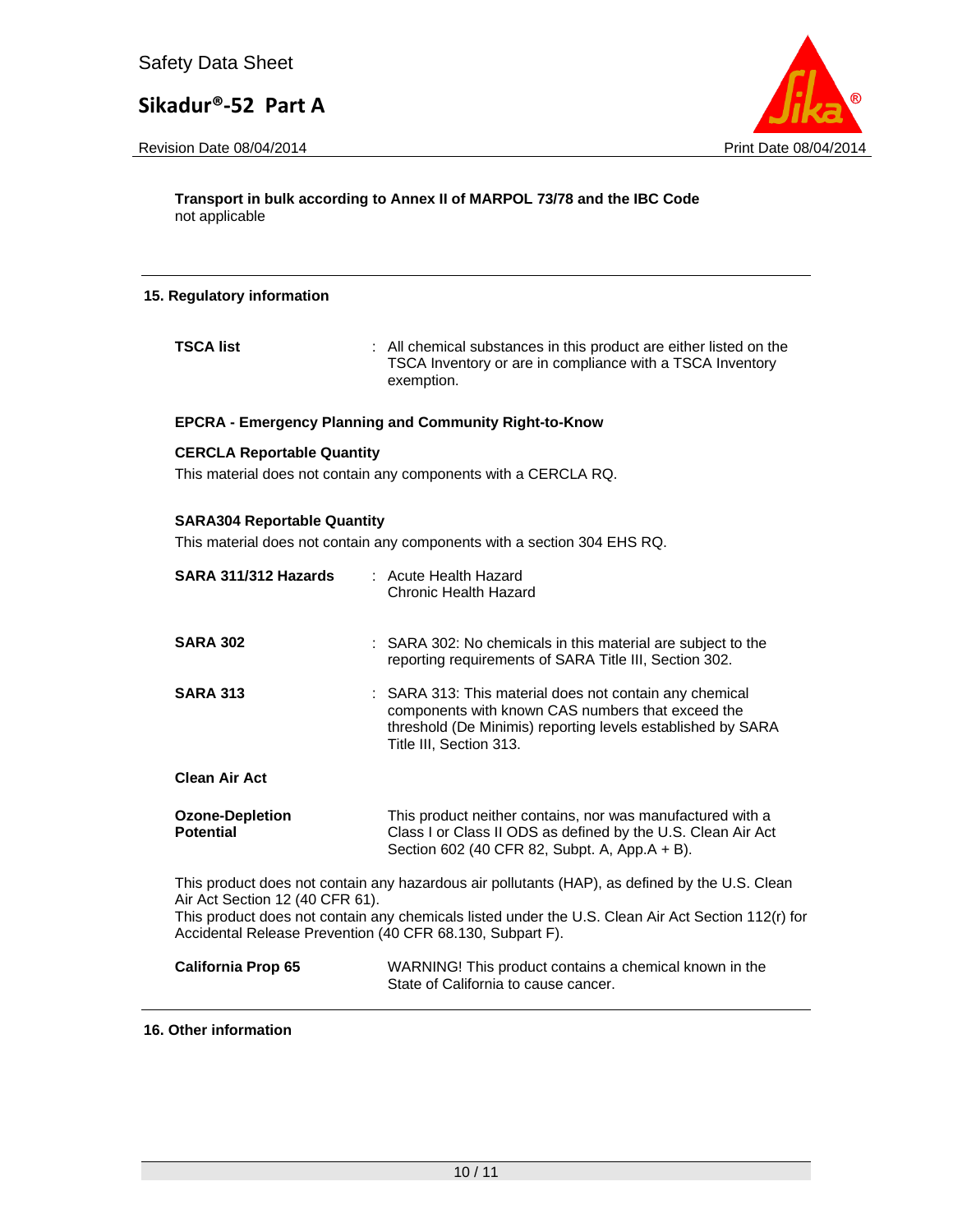Revision Date 08/04/2014 **Print Date 08/04/2014** 



**Transport in bulk according to Annex II of MARPOL 73/78 and the IBC Code**  not applicable

## **15. Regulatory information**

**TSCA list EXECA list EXECA list EXECA list EXECA list EXECA list EXECA list EXECA list EXECA list EXECA list EXECA list EXECA list EXECA list** TSCA Inventory or are in compliance with a TSCA Inventory exemption.

#### **EPCRA - Emergency Planning and Community Right-to-Know**

#### **CERCLA Reportable Quantity**

This material does not contain any components with a CERCLA RQ.

#### **SARA304 Reportable Quantity**

This material does not contain any components with a section 304 EHS RQ.

| SARA 311/312 Hazards                                                                         | : Acute Health Hazard<br>Chronic Health Hazard                                                                                                                                                         |
|----------------------------------------------------------------------------------------------|--------------------------------------------------------------------------------------------------------------------------------------------------------------------------------------------------------|
| <b>SARA 302</b>                                                                              | : SARA 302: No chemicals in this material are subject to the<br>reporting requirements of SARA Title III, Section 302.                                                                                 |
| <b>SARA 313</b>                                                                              | : SARA 313: This material does not contain any chemical<br>components with known CAS numbers that exceed the<br>threshold (De Minimis) reporting levels established by SARA<br>Title III, Section 313. |
| <b>Clean Air Act</b>                                                                         |                                                                                                                                                                                                        |
| <b>Ozone-Depletion</b><br><b>Potential</b>                                                   | This product neither contains, nor was manufactured with a<br>Class I or Class II ODS as defined by the U.S. Clean Air Act<br>Section 602 (40 CFR 82, Subpt. A, App.A + B).                            |
| Air Act Section 12 (40 CFR 61).<br>Accidental Release Prevention (40 CFR 68.130, Subpart F). | This product does not contain any hazardous air pollutants (HAP), as defined by the U.S. Clean<br>This product does not contain any chemicals listed under the U.S. Clean Air Act Section 112(r) for   |
| <b>California Prop 65</b>                                                                    | WARNING! This product contains a chemical known in the<br>State of California to cause cancer.                                                                                                         |

#### **16. Other information**